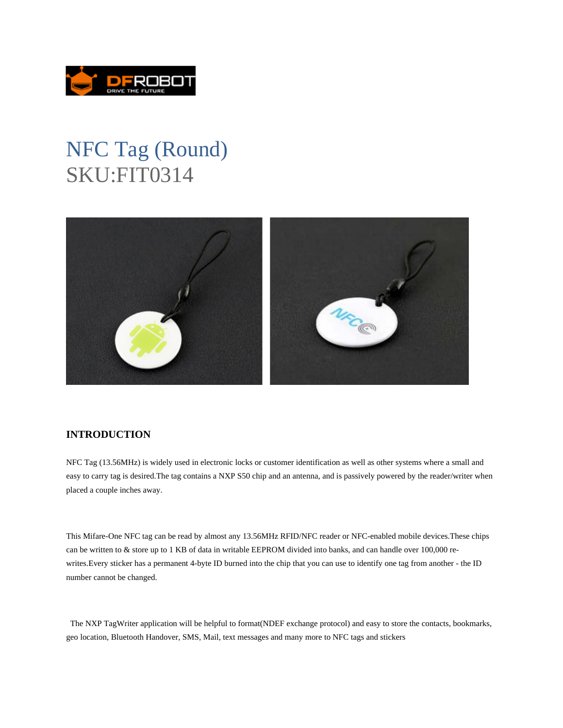

## NFC Tag (Round) SKU:FIT0314



## **INTRODUCTION**

NFC Tag (13.56MHz) is widely used in electronic locks or customer identification as well as other systems where a small and easy to carry tag is desired.The tag contains a NXP S50 chip and an antenna, and is passively powered by the reader/writer when placed a couple inches away.

This Mifare-One NFC tag can be read by almost any 13.56MHz RFID/NFC reader or NFC-enabled mobile devices.These chips can be written to & store up to 1 KB of data in writable EEPROM divided into banks, and can handle over 100,000 rewrites.Every sticker has a permanent 4-byte ID burned into the chip that you can use to identify one tag from another - the ID number cannot be changed.

 The NXP TagWriter application will be helpful to format(NDEF exchange protocol) and easy to store the contacts, bookmarks, geo location, Bluetooth Handover, SMS, Mail, text messages and many more to NFC tags and stickers